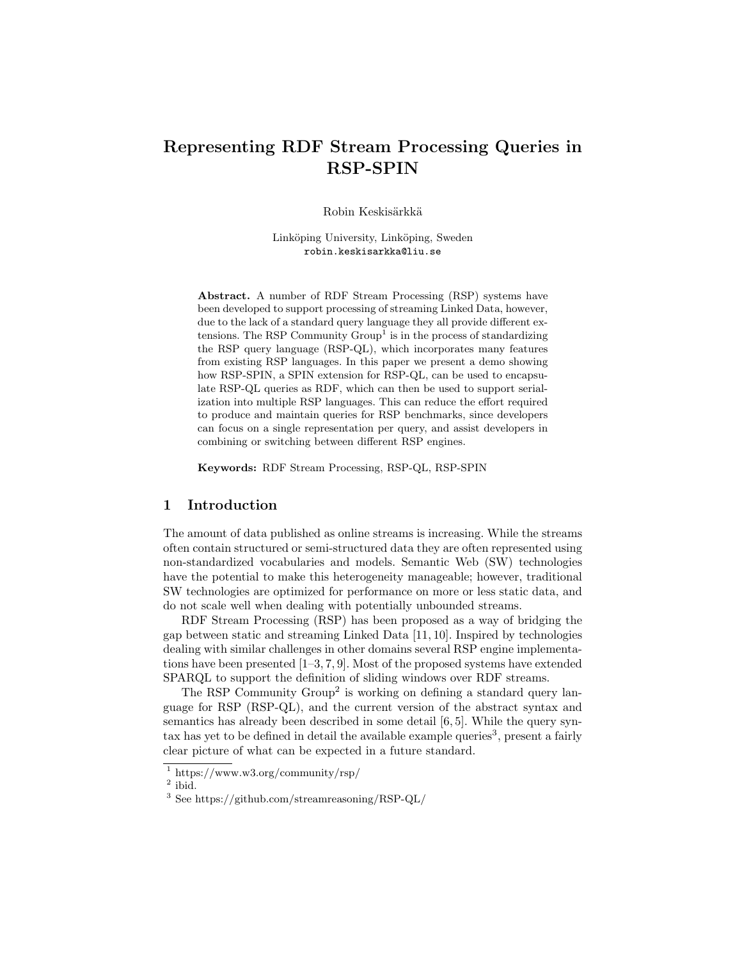## Representing RDF Stream Processing Queries in RSP-SPIN

Robin Keskisärkkä

Linköping University, Linköping, Sweden robin.keskisarkka@liu.se

Abstract. A number of RDF Stream Processing (RSP) systems have been developed to support processing of streaming Linked Data, however, due to the lack of a standard query language they all provide different extensions. The RSP Community  $Group<sup>1</sup>$  is in the process of standardizing the RSP query language (RSP-QL), which incorporates many features from existing RSP languages. In this paper we present a demo showing how RSP-SPIN, a SPIN extension for RSP-QL, can be used to encapsulate RSP-QL queries as RDF, which can then be used to support serialization into multiple RSP languages. This can reduce the effort required to produce and maintain queries for RSP benchmarks, since developers can focus on a single representation per query, and assist developers in combining or switching between different RSP engines.

Keywords: RDF Stream Processing, RSP-QL, RSP-SPIN

## 1 Introduction

The amount of data published as online streams is increasing. While the streams often contain structured or semi-structured data they are often represented using non-standardized vocabularies and models. Semantic Web (SW) technologies have the potential to make this heterogeneity manageable; however, traditional SW technologies are optimized for performance on more or less static data, and do not scale well when dealing with potentially unbounded streams.

RDF Stream Processing (RSP) has been proposed as a way of bridging the gap between static and streaming Linked Data [11, 10]. Inspired by technologies dealing with similar challenges in other domains several RSP engine implementations have been presented  $[1-3, 7, 9]$ . Most of the proposed systems have extended SPARQL to support the definition of sliding windows over RDF streams.

The RSP Community Group<sup>2</sup> is working on defining a standard query language for RSP (RSP-QL), and the current version of the abstract syntax and semantics has already been described in some detail [6, 5]. While the query syn- $\text{tax has yet to be defined in detail the available example queries}^3$ , present a fairly clear picture of what can be expected in a future standard.

<sup>1</sup> https://www.w3.org/community/rsp/

<sup>&</sup>lt;sup>2</sup> ibid.

<sup>3</sup> See https://github.com/streamreasoning/RSP-QL/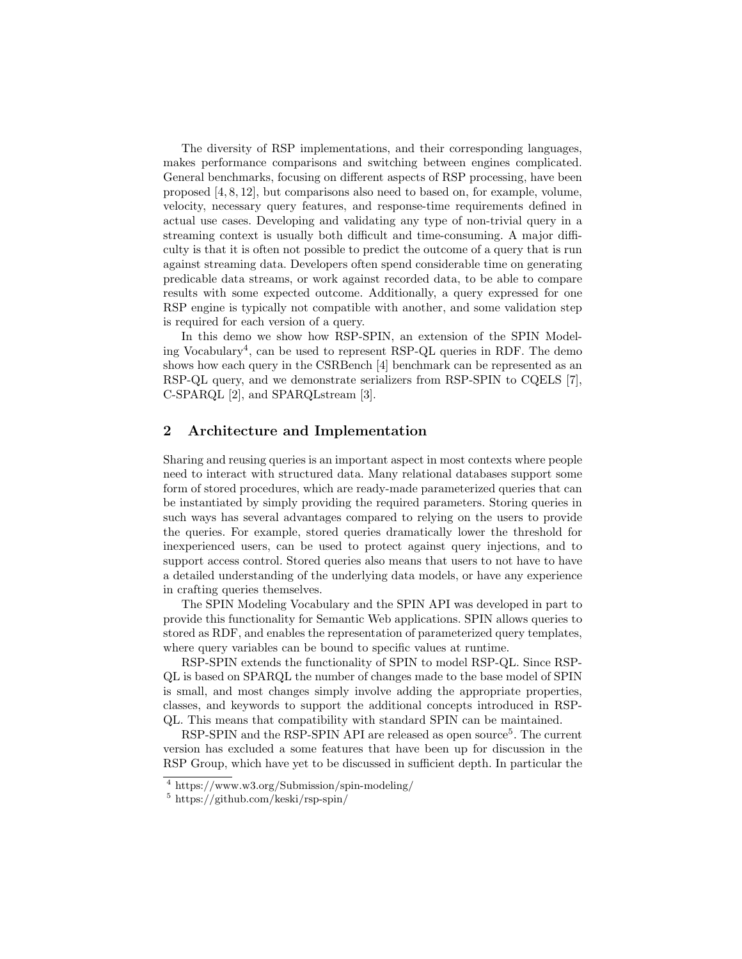The diversity of RSP implementations, and their corresponding languages, makes performance comparisons and switching between engines complicated. General benchmarks, focusing on different aspects of RSP processing, have been proposed [4, 8, 12], but comparisons also need to based on, for example, volume, velocity, necessary query features, and response-time requirements defined in actual use cases. Developing and validating any type of non-trivial query in a streaming context is usually both difficult and time-consuming. A major difficulty is that it is often not possible to predict the outcome of a query that is run against streaming data. Developers often spend considerable time on generating predicable data streams, or work against recorded data, to be able to compare results with some expected outcome. Additionally, a query expressed for one RSP engine is typically not compatible with another, and some validation step is required for each version of a query.

In this demo we show how RSP-SPIN, an extension of the SPIN Modeling Vocabulary<sup>4</sup>, can be used to represent RSP-QL queries in RDF. The demo shows how each query in the CSRBench [4] benchmark can be represented as an RSP-QL query, and we demonstrate serializers from RSP-SPIN to CQELS [7], C-SPARQL [2], and SPARQLstream [3].

## 2 Architecture and Implementation

Sharing and reusing queries is an important aspect in most contexts where people need to interact with structured data. Many relational databases support some form of stored procedures, which are ready-made parameterized queries that can be instantiated by simply providing the required parameters. Storing queries in such ways has several advantages compared to relying on the users to provide the queries. For example, stored queries dramatically lower the threshold for inexperienced users, can be used to protect against query injections, and to support access control. Stored queries also means that users to not have to have a detailed understanding of the underlying data models, or have any experience in crafting queries themselves.

The SPIN Modeling Vocabulary and the SPIN API was developed in part to provide this functionality for Semantic Web applications. SPIN allows queries to stored as RDF, and enables the representation of parameterized query templates, where query variables can be bound to specific values at runtime.

RSP-SPIN extends the functionality of SPIN to model RSP-QL. Since RSP-QL is based on SPARQL the number of changes made to the base model of SPIN is small, and most changes simply involve adding the appropriate properties, classes, and keywords to support the additional concepts introduced in RSP-QL. This means that compatibility with standard SPIN can be maintained.

RSP-SPIN and the RSP-SPIN API are released as open source<sup>5</sup>. The current version has excluded a some features that have been up for discussion in the RSP Group, which have yet to be discussed in sufficient depth. In particular the

<sup>4</sup> https://www.w3.org/Submission/spin-modeling/

<sup>5</sup> https://github.com/keski/rsp-spin/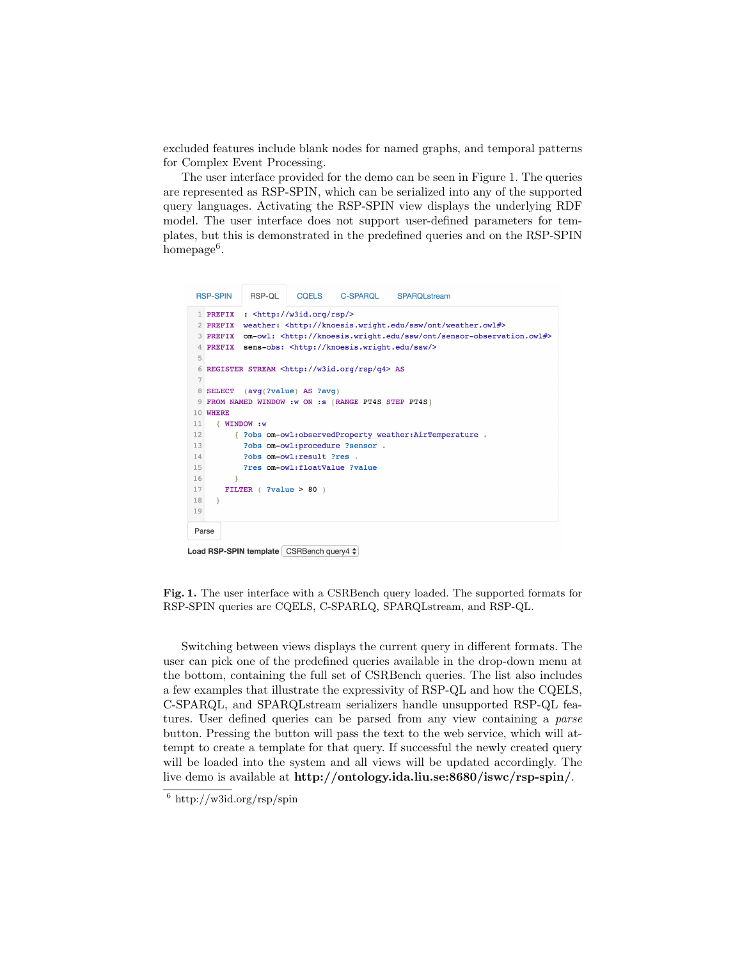excluded features include blank nodes for named graphs, and temporal patterns for Complex Event Processing.

The user interface provided for the demo can be seen in Figure 1. The queries are represented as RSP-SPIN, which can be serialized into any of the supported query languages. Activating the RSP-SPIN view displays the underlying RDF model. The user interface does not support user-defined parameters for templates, but this is demonstrated in the predefined queries and on the RSP-SPIN homepage<sup>6</sup>.

```
RSP-SPIN
            RSP-OL
                       COFLS
                                 C-SPAROL
                                             SPAROL stream
 1 PREFIX : < http://w3id.org/rsp/>
 2 PREFIX weather: <http://knoesis.wright.edu/ssw/ont/weather.owl#>
 3 PREFIX om-owl: <http://knoesis.wright.edu/ssw/ont/sensor-observation.owl#>
 4 PREFIX sens-obs: <http://knoesis.wright.edu/ssw/>
 6 REGISTER STREAM <http://w3id.org/rsp/q4> AS
8 SELECT (avg(?value) AS ?avg)
9 FROM NAMED WINDOW :w ON :s [RANGE PT4S STEP PT4S]
10 WHERE
11WINDOW: W
12{ ?obs om-owl:observedProperty weather:AirTemperature
13
           ?obs om-owl: procedure ?sensor .
14?obs om-owl: result ?res
15
           ?res om-owl:floatValue ?value
1617
       FILTER ( ?value > 80 )
18
     \rightarrow19
Parse
```
Load RSP-SPIN template CSRBench query4  $\frac{1}{2}$ 

Fig. 1. The user interface with a CSRBench query loaded. The supported formats for RSP-SPIN queries are CQELS, C-SPARLQ, SPARQLstream, and RSP-QL.

Switching between views displays the current query in different formats. The user can pick one of the predefined queries available in the drop-down menu at the bottom, containing the full set of CSRBench queries. The list also includes a few examples that illustrate the expressivity of RSP-QL and how the CQELS, C-SPARQL, and SPARQLstream serializers handle unsupported RSP-QL features. User defined queries can be parsed from any view containing a *parse* button. Pressing the button will pass the text to the web service, which will attempt to create a template for that query. If successful the newly created query will be loaded into the system and all views will be updated accordingly. The live demo is available at http://ontology.ida.liu.se:8680/iswc/rsp-spin/.

 $6 \text{ http://w3id.org/rsp/spin}$